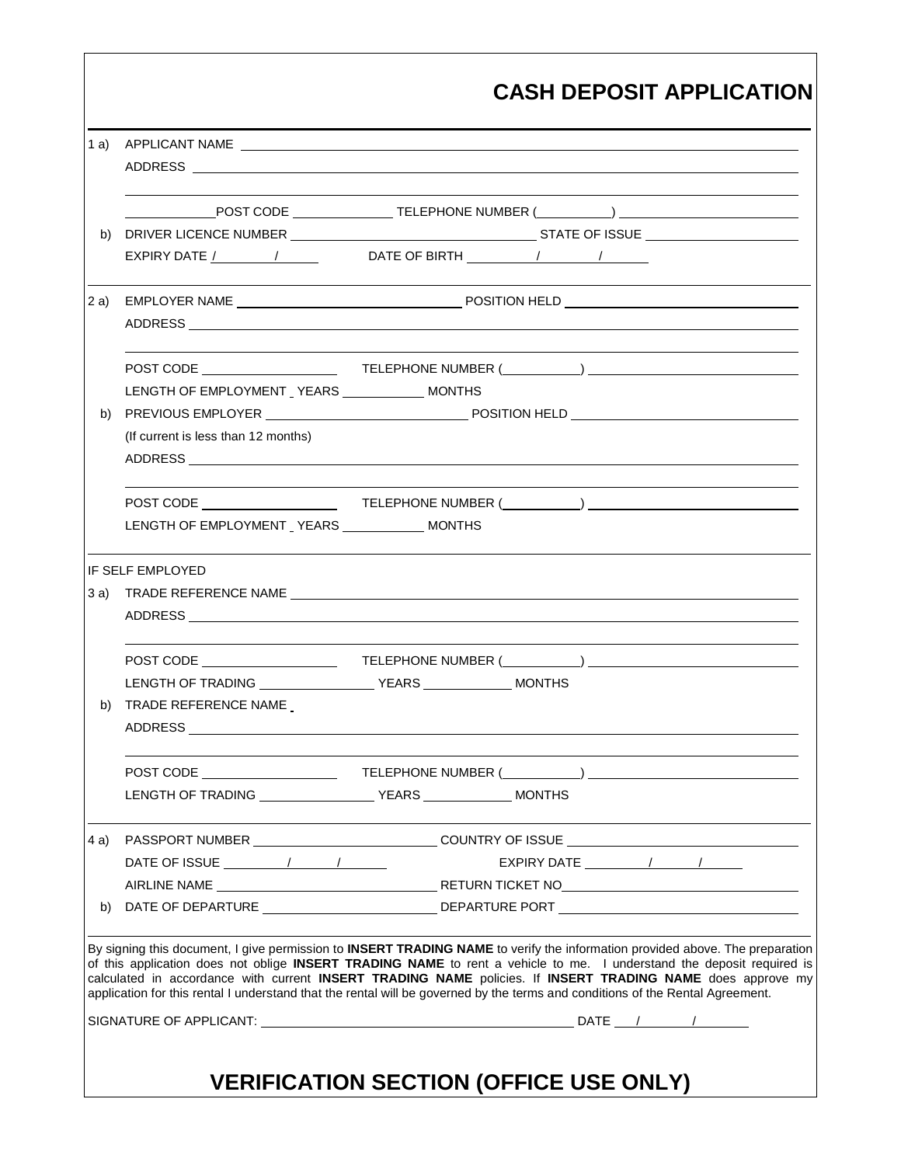| 1 a) |                                                                          |                                                                                                                                                                                                                                                                                                                                                                                                                                                                                                       |
|------|--------------------------------------------------------------------------|-------------------------------------------------------------------------------------------------------------------------------------------------------------------------------------------------------------------------------------------------------------------------------------------------------------------------------------------------------------------------------------------------------------------------------------------------------------------------------------------------------|
|      |                                                                          |                                                                                                                                                                                                                                                                                                                                                                                                                                                                                                       |
|      |                                                                          |                                                                                                                                                                                                                                                                                                                                                                                                                                                                                                       |
| b)   |                                                                          |                                                                                                                                                                                                                                                                                                                                                                                                                                                                                                       |
|      |                                                                          | EXPIRY DATE $\frac{1}{1}$ $\frac{1}{1}$ DATE OF BIRTH $\frac{1}{1}$ $\frac{1}{1}$                                                                                                                                                                                                                                                                                                                                                                                                                     |
| 2a)  |                                                                          |                                                                                                                                                                                                                                                                                                                                                                                                                                                                                                       |
|      |                                                                          |                                                                                                                                                                                                                                                                                                                                                                                                                                                                                                       |
|      |                                                                          |                                                                                                                                                                                                                                                                                                                                                                                                                                                                                                       |
|      | LENGTH OF EMPLOYMENT YEARS _____________ MONTHS                          |                                                                                                                                                                                                                                                                                                                                                                                                                                                                                                       |
| b)   |                                                                          |                                                                                                                                                                                                                                                                                                                                                                                                                                                                                                       |
|      | (If current is less than 12 months)                                      |                                                                                                                                                                                                                                                                                                                                                                                                                                                                                                       |
|      |                                                                          |                                                                                                                                                                                                                                                                                                                                                                                                                                                                                                       |
|      |                                                                          |                                                                                                                                                                                                                                                                                                                                                                                                                                                                                                       |
|      | LENGTH OF EMPLOYMENT YEARS _____________ MONTHS                          |                                                                                                                                                                                                                                                                                                                                                                                                                                                                                                       |
|      | <b>IF SELF EMPLOYED</b>                                                  |                                                                                                                                                                                                                                                                                                                                                                                                                                                                                                       |
| 3 a) |                                                                          |                                                                                                                                                                                                                                                                                                                                                                                                                                                                                                       |
|      |                                                                          |                                                                                                                                                                                                                                                                                                                                                                                                                                                                                                       |
|      |                                                                          |                                                                                                                                                                                                                                                                                                                                                                                                                                                                                                       |
|      |                                                                          |                                                                                                                                                                                                                                                                                                                                                                                                                                                                                                       |
|      |                                                                          |                                                                                                                                                                                                                                                                                                                                                                                                                                                                                                       |
|      | b) TRADE REFERENCE NAME<br>ADDRESS                                       |                                                                                                                                                                                                                                                                                                                                                                                                                                                                                                       |
|      |                                                                          |                                                                                                                                                                                                                                                                                                                                                                                                                                                                                                       |
|      |                                                                          |                                                                                                                                                                                                                                                                                                                                                                                                                                                                                                       |
|      |                                                                          |                                                                                                                                                                                                                                                                                                                                                                                                                                                                                                       |
| 4 a) |                                                                          |                                                                                                                                                                                                                                                                                                                                                                                                                                                                                                       |
|      | DATE OF ISSUE $\frac{1}{\sqrt{1-\frac{1}{2}}}\left(1-\frac{1}{2}\right)$ | EXPIRY DATE $\frac{1}{\sqrt{1-\frac{1}{2}}}\left\vert \frac{1}{\sqrt{1-\frac{1}{2}}}\right\vert$                                                                                                                                                                                                                                                                                                                                                                                                      |
|      |                                                                          |                                                                                                                                                                                                                                                                                                                                                                                                                                                                                                       |
| b)   |                                                                          |                                                                                                                                                                                                                                                                                                                                                                                                                                                                                                       |
|      |                                                                          | By signing this document, I give permission to INSERT TRADING NAME to verify the information provided above. The preparation<br>of this application does not oblige INSERT TRADING NAME to rent a vehicle to me. I understand the deposit required is<br>calculated in accordance with current INSERT TRADING NAME policies. If INSERT TRADING NAME does approve my<br>application for this rental I understand that the rental will be governed by the terms and conditions of the Rental Agreement. |
|      |                                                                          |                                                                                                                                                                                                                                                                                                                                                                                                                                                                                                       |

Г